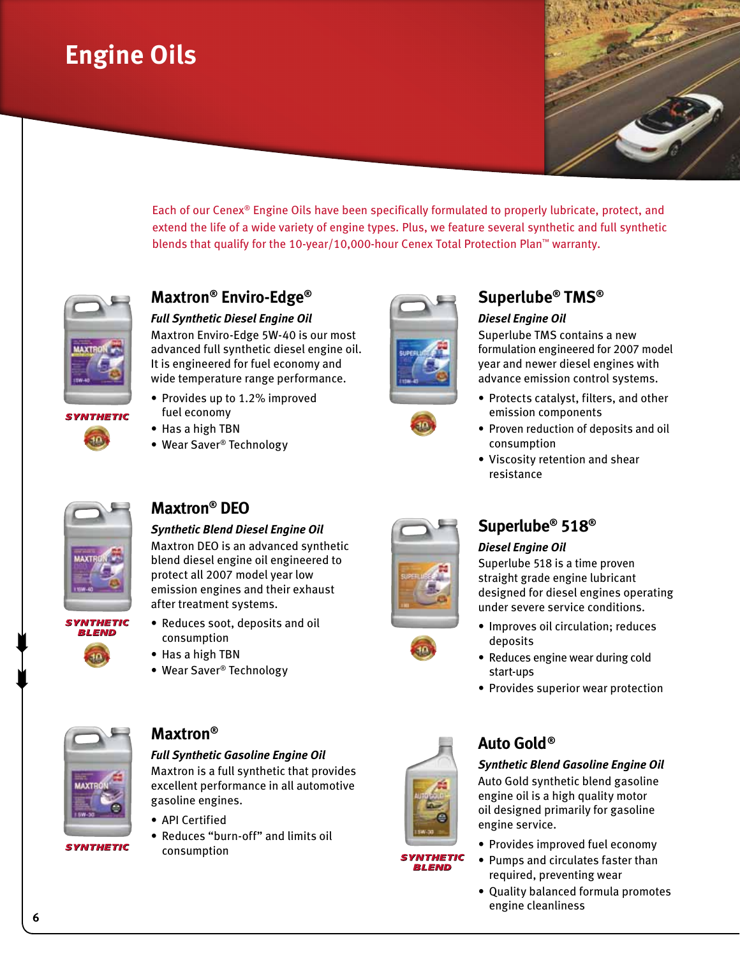## **Engine Oils**



Each of our Cenex® Engine Oils have been specifically formulated to properly lubricate, protect, and extend the life of a wide variety of engine types. Plus, we feature several synthetic and full synthetic blends that qualify for the 10-year/10,000-hour Cenex Total Protection Plan™ warranty.



**SYNTHETIC** 

## **Maxtron® Enviro-Edge®**

*Full Synthetic Diesel Engine Oil*

Maxtron Enviro-Edge 5W-40 is our most advanced full synthetic diesel engine oil. It is engineered for fuel economy and wide temperature range performance.

- Provides up to 1.2% improved fuel economy
- Has a high TBN
- Wear Saver<sup>®</sup> Technology





## **Superlube® TMS®**

#### *Diesel Engine Oil*

Superlube TMS contains a new formulation engineered for 2007 model year and newer diesel engines with advance emission control systems.

- Protects catalyst, filters, and other emission components
- Proven reduction of deposits and oil consumption
- Viscosity retention and shear resistance



**SYNTHETIC** BL END

## **Maxtron® DEO**

#### *Synthetic Blend Diesel Engine Oil*

Maxtron DEO is an advanced synthetic blend diesel engine oil engineered to protect all 2007 model year low emission engines and their exhaust after treatment systems.

- Reduces soot, deposits and oil consumption
	- Has a high TBN
	- Wear Saver<sup>®</sup> Technology





#### *Diesel Engine Oil*

Superlube 518 is a time proven straight grade engine lubricant designed for diesel engines operating under severe service conditions.

- Improves oil circulation; reduces deposits
- Reduces engine wear during cold start-ups
- Provides superior wear protection



### **Maxtron®**

*Full Synthetic Gasoline Engine Oil* 

Maxtron is a full synthetic that provides excellent performance in all automotive gasoline engines.

- • API Certified
- • Reduces "burn-off" and limits oil consumption



**SYNTHETIC BLEND** 

## **Auto Gold®**

#### *Synthetic Blend Gasoline Engine Oil*

Auto Gold synthetic blend gasoline engine oil is a high quality motor oil designed primarily for gasoline engine service.

- Provides improved fuel economy
- Pumps and circulates faster than required, preventing wear
- Quality balanced formula promotes engine cleanliness

 $\begin{matrix} \blacksquare \\ \blacksquare \end{matrix}$ 

 $\begin{matrix} \blacksquare \\ \blacksquare \end{matrix}$